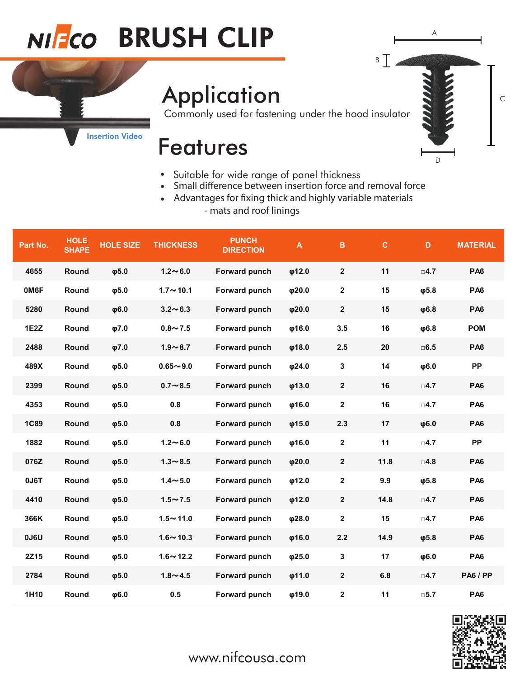# NIFCO BRUSH CLIP

## **Application**

Commonly used for fastening under the hood insulator

A

D

C

 $\overline{\phantom{a}}$  B

#### [Insertion Video](https://www.youtube.com/watch?v=68oZYbiDGZk)

#### Features

- Suitable for wide range of panel thickness
- Small difference between insertion force and removal force
- Advantages for fixing thick and highly variable materials - mats and roof linings

| Part No.    | <b>HOLE</b><br><b>SHAPE</b> | <b>HOLE SIZE</b> | <b>THICKNESS</b> | <b>PUNCH</b><br><b>DIRECTION</b> | A           | $\, {\bf B}$            | $\mathbf C$ | $\mathbf D$   | <b>MATERIAL</b> |
|-------------|-----------------------------|------------------|------------------|----------------------------------|-------------|-------------------------|-------------|---------------|-----------------|
| 4655        | Round                       | $\phi$ 5.0       | $1.2 - 6.0$      | Forward punch                    | $\phi$ 12.0 | $\mathbf{2}$            | 11          | $\square$ 4.7 | <b>PA6</b>      |
| 0M6F        | Round                       | $\phi$ 5.0       | $1.7 - 10.1$     | Forward punch                    | φ20.0       | $\overline{\mathbf{2}}$ | 15          | $\phi$ 5.8    | PA <sub>6</sub> |
| 5280        | Round                       | $\phi$ 6.0       | $3.2 \sim 6.3$   | Forward punch                    | φ20.0       | $\overline{\mathbf{2}}$ | 15          | $\phi$ 6.8    | <b>PA6</b>      |
| 1E2Z        | Round                       | $\phi$ 7.0       | $0.8 - 7.5$      | Forward punch                    | $\phi$ 16.0 | 3.5                     | 16          | $\phi$ 6.8    | <b>POM</b>      |
| 2488        | Round                       | $\phi$ 7.0       | $1.9 - 8.7$      | Forward punch                    | φ18.0       | 2.5                     | 20          | $\square$ 6.5 | PA <sub>6</sub> |
| 489X        | Round                       | $\phi$ 5.0       | $0.65 - 9.0$     | Forward punch                    | φ24.0       | 3                       | 14          | $\phi$ 6.0    | <b>PP</b>       |
| 2399        | Round                       | $\phi$ 5.0       | $0.7 - 8.5$      | Forward punch                    | φ13.0       | $\mathbf{2}$            | 16          | $\square$ 4.7 | PA <sub>6</sub> |
| 4353        | Round                       | $\phi$ 5.0       | 0.8              | Forward punch                    | $\phi$ 16.0 | $\mathbf 2$             | 16          | $\square$ 4.7 | PA <sub>6</sub> |
| <b>1C89</b> | Round                       | $\phi$ 5.0       | 0.8              | Forward punch                    | $\phi$ 15.0 | 2.3                     | 17          | $\phi$ 6.0    | PA <sub>6</sub> |
| 1882        | Round                       | $\phi$ 5.0       | $1.2 - 6.0$      | Forward punch                    | $\phi$ 16.0 | $\mathbf{2}$            | 11          | $\square$ 4.7 | <b>PP</b>       |
| 076Z        | Round                       | $\phi$ 5.0       | $1.3 - 8.5$      | Forward punch                    | $\phi$ 20.0 | $\mathbf{2}$            | 11.8        | $\square$ 4.8 | <b>PA6</b>      |
| 0J6T        | Round                       | $\phi$ 5.0       | $1.4 - 5.0$      | Forward punch                    | $\phi$ 12.0 | $\mathbf 2$             | 9.9         | $\phi$ 5.8    | PA <sub>6</sub> |
| 4410        | Round                       | $\phi$ 5.0       | $1.5 - 7.5$      | Forward punch                    | $\phi$ 12.0 | $\mathbf{2}$            | 14.8        | $\square$ 4.7 | <b>PA6</b>      |
| 366K        | Round                       | $\phi$ 5.0       | $1.5 - 11.0$     | Forward punch                    | φ28.0       | $\mathbf 2$             | 15          | $\square 4.7$ | PA <sub>6</sub> |
| <b>UJ6U</b> | Round                       | $\phi$ 5.0       | $1.6 - 10.3$     | Forward punch                    | φ16.0       | 2.2                     | 14.9        | $\phi$ 5.8    | PA <sub>6</sub> |
| 2Z15        | Round                       | $\phi$ 5.0       | $1.6 - 12.2$     | Forward punch                    | φ25.0       | 3                       | 17          | $\phi$ 6.0    | PA <sub>6</sub> |
| 2784        | Round                       | $\phi$ 5.0       | $1.8 - 4.5$      | Forward punch                    | $\phi$ 11.0 | $\mathbf{2}$            | 6.8         | $\square$ 4.7 | <b>PA6 / PP</b> |
| 1H10        | Round                       | φ6.0             | 0.5              | Forward punch                    | φ19.0       | $\mathbf 2$             | 11          | $\square$ 5.7 | PA <sub>6</sub> |